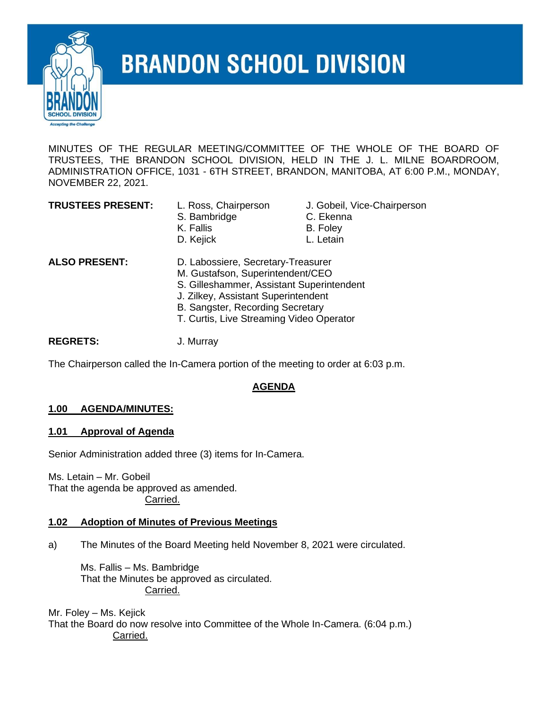

# **BRANDON SCHOOL DIVISION**

MINUTES OF THE REGULAR MEETING/COMMITTEE OF THE WHOLE OF THE BOARD OF TRUSTEES, THE BRANDON SCHOOL DIVISION, HELD IN THE J. L. MILNE BOARDROOM, ADMINISTRATION OFFICE, 1031 - 6TH STREET, BRANDON, MANITOBA, AT 6:00 P.M., MONDAY, NOVEMBER 22, 2021.

- S. Bambridge **C. Ekenna** K. Fallis B. Foley
- L. Ross, Chairperson J. Gobeil, Vice-Chairperson
	-
	-
- D. Kejick L. Letain

- **ALSO PRESENT:** D. Labossiere, Secretary-Treasurer
	- M. Gustafson, Superintendent/CEO
	- S. Gilleshammer, Assistant Superintendent
	- J. Zilkey, Assistant Superintendent
	- B. Sangster, Recording Secretary
	- T. Curtis, Live Streaming Video Operator

**REGRETS:** J. Murray

The Chairperson called the In-Camera portion of the meeting to order at 6:03 p.m.

# **AGENDA**

# **1.00 AGENDA/MINUTES:**

# **1.01 Approval of Agenda**

Senior Administration added three (3) items for In-Camera.

Ms. Letain – Mr. Gobeil That the agenda be approved as amended. Carried.

#### **1.02 Adoption of Minutes of Previous Meetings**

a) The Minutes of the Board Meeting held November 8, 2021 were circulated.

Ms. Fallis – Ms. Bambridge That the Minutes be approved as circulated. Carried.

Mr. Foley – Ms. Kejick That the Board do now resolve into Committee of the Whole In-Camera. (6:04 p.m.) Carried.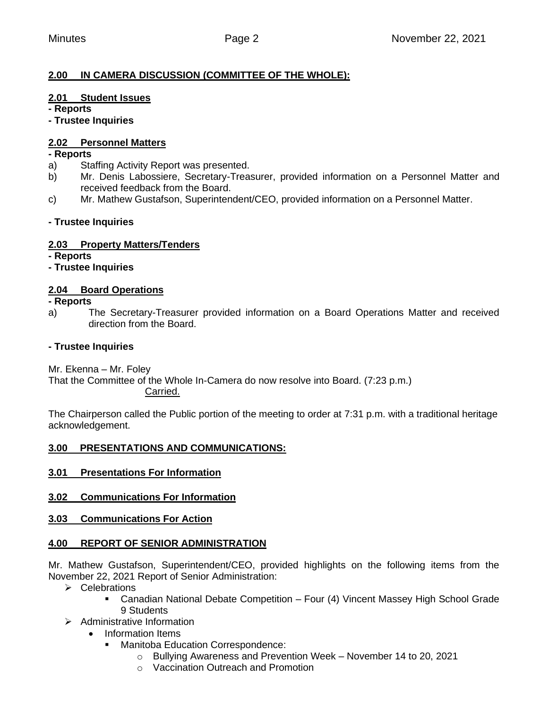# **2.00 IN CAMERA DISCUSSION (COMMITTEE OF THE WHOLE):**

#### **2.01 Student Issues**

**- Reports**

**- Trustee Inquiries**

# **2.02 Personnel Matters**

#### **- Reports**

- a) Staffing Activity Report was presented.
- b) Mr. Denis Labossiere, Secretary-Treasurer, provided information on a Personnel Matter and received feedback from the Board.
- c) Mr. Mathew Gustafson, Superintendent/CEO, provided information on a Personnel Matter.

## **- Trustee Inquiries**

## **2.03 Property Matters/Tenders**

**- Reports**

## **- Trustee Inquiries**

## **2.04 Board Operations**

#### **- Reports**

a) The Secretary-Treasurer provided information on a Board Operations Matter and received direction from the Board.

#### **- Trustee Inquiries**

Mr. Ekenna – Mr. Foley

That the Committee of the Whole In-Camera do now resolve into Board. (7:23 p.m.) Carried.

The Chairperson called the Public portion of the meeting to order at 7:31 p.m. with a traditional heritage acknowledgement.

#### **3.00 PRESENTATIONS AND COMMUNICATIONS:**

- **3.01 Presentations For Information**
- **3.02 Communications For Information**
- **3.03 Communications For Action**

# **4.00 REPORT OF SENIOR ADMINISTRATION**

Mr. Mathew Gustafson, Superintendent/CEO, provided highlights on the following items from the November 22, 2021 Report of Senior Administration:

- ➢ Celebrations
	- Canadian National Debate Competition Four (4) Vincent Massey High School Grade 9 Students
- ➢ Administrative Information
	- Information Items
		- Manitoba Education Correspondence:
			- o Bullying Awareness and Prevention Week November 14 to 20, 2021
			- o Vaccination Outreach and Promotion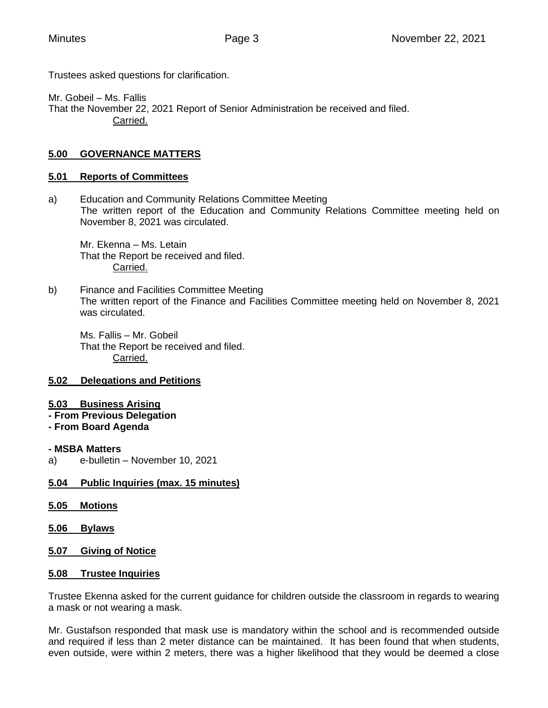Trustees asked questions for clarification.

Mr. Gobeil – Ms. Fallis That the November 22, 2021 Report of Senior Administration be received and filed. Carried.

# **5.00 GOVERNANCE MATTERS**

## **5.01 Reports of Committees**

a) Education and Community Relations Committee Meeting The written report of the Education and Community Relations Committee meeting held on November 8, 2021 was circulated.

Mr. Ekenna – Ms. Letain That the Report be received and filed. Carried.

b) Finance and Facilities Committee Meeting The written report of the Finance and Facilities Committee meeting held on November 8, 2021 was circulated.

Ms. Fallis – Mr. Gobeil That the Report be received and filed. Carried.

# **5.02 Delegations and Petitions**

- **5.03 Business Arising**
- **- From Previous Delegation**
- **- From Board Agenda**

#### **- MSBA Matters**

a) e-bulletin – November 10, 2021

# **5.04 Public Inquiries (max. 15 minutes)**

- **5.05 Motions**
- **5.06 Bylaws**
- **5.07 Giving of Notice**

#### **5.08 Trustee Inquiries**

Trustee Ekenna asked for the current guidance for children outside the classroom in regards to wearing a mask or not wearing a mask.

Mr. Gustafson responded that mask use is mandatory within the school and is recommended outside and required if less than 2 meter distance can be maintained. It has been found that when students, even outside, were within 2 meters, there was a higher likelihood that they would be deemed a close